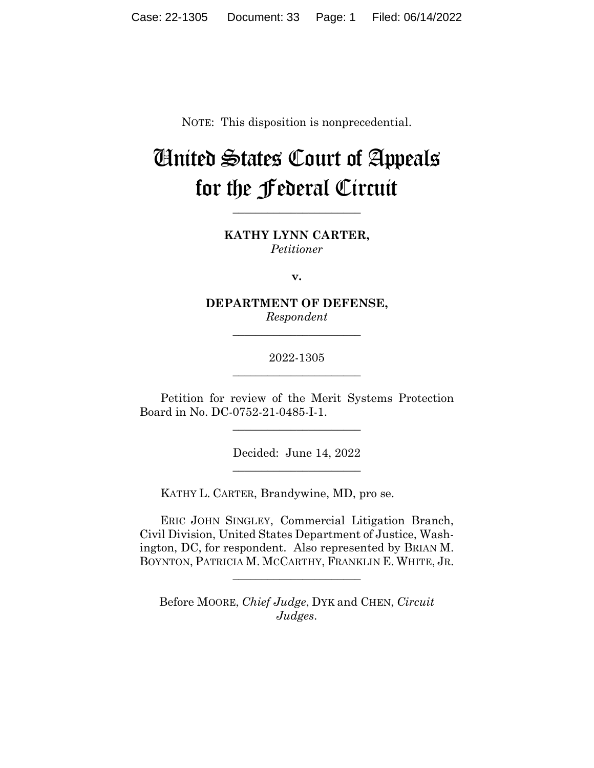NOTE: This disposition is nonprecedential.

# United States Court of Appeals for the Federal Circuit

**KATHY LYNN CARTER,** *Petitioner*

**\_\_\_\_\_\_\_\_\_\_\_\_\_\_\_\_\_\_\_\_\_\_** 

**v.**

**DEPARTMENT OF DEFENSE,** *Respondent*

**\_\_\_\_\_\_\_\_\_\_\_\_\_\_\_\_\_\_\_\_\_\_** 

2022-1305 **\_\_\_\_\_\_\_\_\_\_\_\_\_\_\_\_\_\_\_\_\_\_** 

Petition for review of the Merit Systems Protection Board in No. DC-0752-21-0485-I-1.

\_\_\_\_\_\_\_\_\_\_\_\_\_\_\_\_\_\_\_\_\_\_

Decided: June 14, 2022 \_\_\_\_\_\_\_\_\_\_\_\_\_\_\_\_\_\_\_\_\_\_

KATHY L. CARTER, Brandywine, MD, pro se.

 ERIC JOHN SINGLEY, Commercial Litigation Branch, Civil Division, United States Department of Justice, Washington, DC, for respondent. Also represented by BRIAN M. BOYNTON, PATRICIA M. MCCARTHY, FRANKLIN E. WHITE, JR.

Before MOORE, *Chief Judge*, DYK and CHEN, *Circuit Judges*.

 $\overline{\phantom{a}}$  , where  $\overline{\phantom{a}}$  , where  $\overline{\phantom{a}}$  , where  $\overline{\phantom{a}}$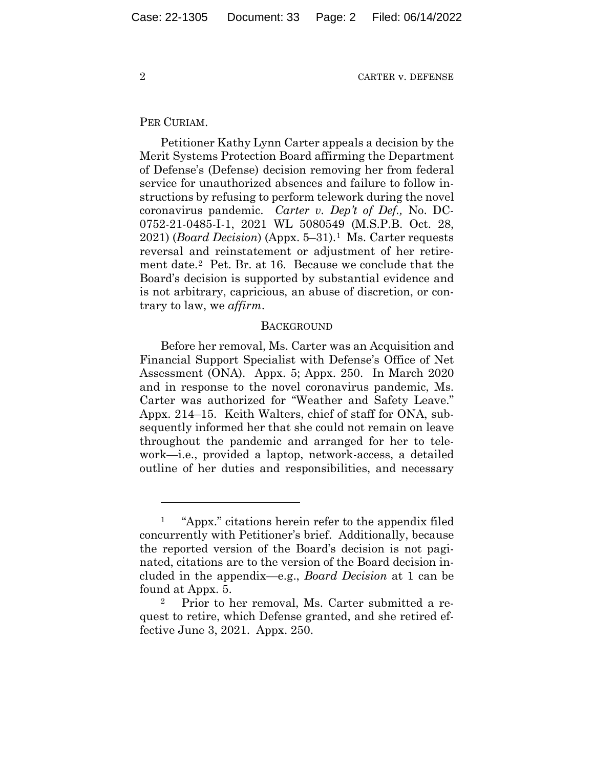### PER CURIAM.

Petitioner Kathy Lynn Carter appeals a decision by the Merit Systems Protection Board affirming the Department of Defense's (Defense) decision removing her from federal service for unauthorized absences and failure to follow instructions by refusing to perform telework during the novel coronavirus pandemic. *Carter v. Dep't of Def.,* No. DC-0752-21-0485-I-1, 2021 WL 5080549 (M.S.P.B. Oct. 28, 2021) (*Board Decision*) (Appx. 5–31).1 Ms. Carter requests reversal and reinstatement or adjustment of her retirement date.2 Pet. Br. at 16. Because we conclude that the Board's decision is supported by substantial evidence and is not arbitrary, capricious, an abuse of discretion, or contrary to law, we *affirm*.

## **BACKGROUND**

Before her removal, Ms. Carter was an Acquisition and Financial Support Specialist with Defense's Office of Net Assessment (ONA). Appx. 5; Appx. 250. In March 2020 and in response to the novel coronavirus pandemic, Ms. Carter was authorized for "Weather and Safety Leave." Appx. 214–15. Keith Walters, chief of staff for ONA, subsequently informed her that she could not remain on leave throughout the pandemic and arranged for her to telework—i.e., provided a laptop, network-access, a detailed outline of her duties and responsibilities, and necessary

<sup>1 &</sup>quot;Appx." citations herein refer to the appendix filed concurrently with Petitioner's brief. Additionally, because the reported version of the Board's decision is not paginated, citations are to the version of the Board decision included in the appendix—e.g., *Board Decision* at 1 can be found at Appx. 5.

<sup>2</sup> Prior to her removal, Ms. Carter submitted a request to retire, which Defense granted, and she retired effective June 3, 2021. Appx. 250.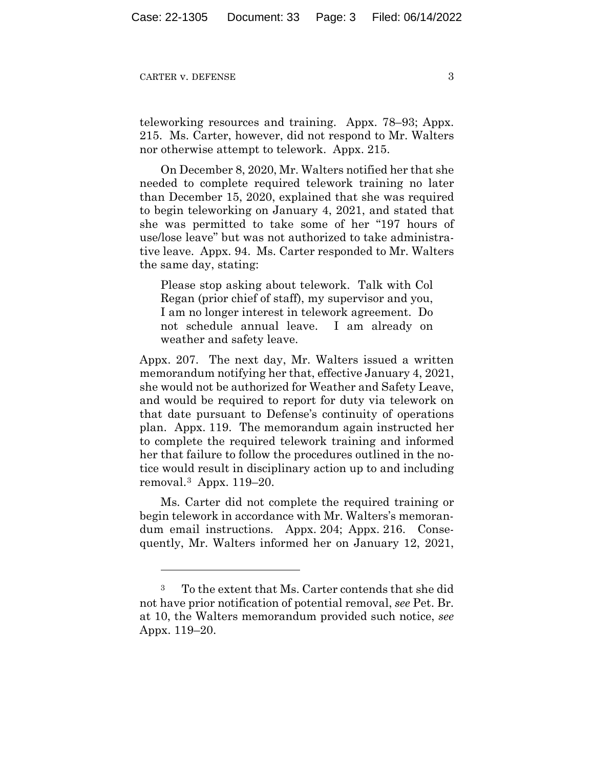teleworking resources and training. Appx. 78–93; Appx. 215. Ms. Carter, however, did not respond to Mr. Walters nor otherwise attempt to telework. Appx. 215.

On December 8, 2020, Mr. Walters notified her that she needed to complete required telework training no later than December 15, 2020, explained that she was required to begin teleworking on January 4, 2021, and stated that she was permitted to take some of her "197 hours of use/lose leave" but was not authorized to take administrative leave. Appx. 94. Ms. Carter responded to Mr. Walters the same day, stating:

Please stop asking about telework. Talk with Col Regan (prior chief of staff), my supervisor and you, I am no longer interest in telework agreement. Do not schedule annual leave. I am already on weather and safety leave.

Appx. 207. The next day, Mr. Walters issued a written memorandum notifying her that, effective January 4, 2021, she would not be authorized for Weather and Safety Leave, and would be required to report for duty via telework on that date pursuant to Defense's continuity of operations plan. Appx. 119. The memorandum again instructed her to complete the required telework training and informed her that failure to follow the procedures outlined in the notice would result in disciplinary action up to and including removal.3 Appx. 119–20.

Ms. Carter did not complete the required training or begin telework in accordance with Mr. Walters's memorandum email instructions. Appx. 204; Appx. 216. Consequently, Mr. Walters informed her on January 12, 2021,

<sup>3</sup> To the extent that Ms. Carter contends that she did not have prior notification of potential removal, *see* Pet. Br. at 10, the Walters memorandum provided such notice, *see* Appx. 119–20.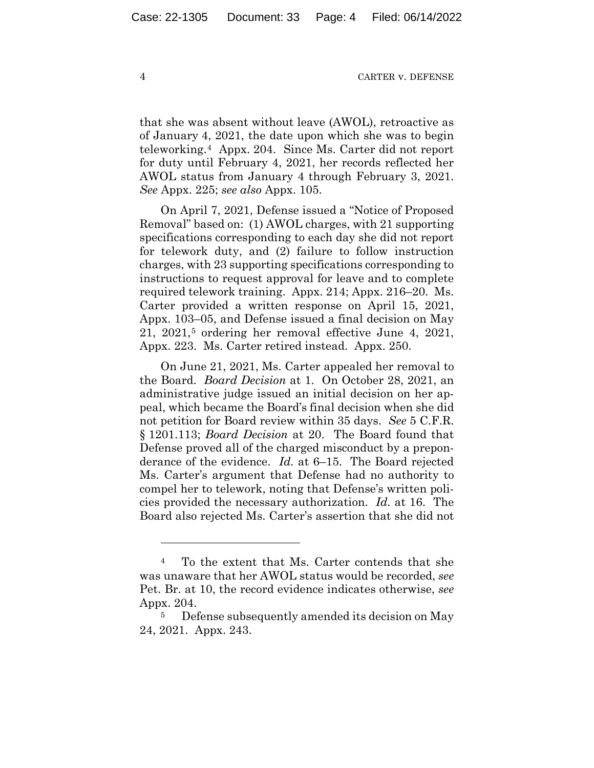that she was absent without leave (AWOL), retroactive as of January 4, 2021, the date upon which she was to begin teleworking.4 Appx. 204. Since Ms. Carter did not report for duty until February 4, 2021, her records reflected her AWOL status from January 4 through February 3, 2021. *See* Appx. 225; *see also* Appx. 105.

On April 7, 2021, Defense issued a "Notice of Proposed Removal" based on: (1) AWOL charges, with 21 supporting specifications corresponding to each day she did not report for telework duty, and (2) failure to follow instruction charges, with 23 supporting specifications corresponding to instructions to request approval for leave and to complete required telework training. Appx. 214; Appx. 216–20. Ms. Carter provided a written response on April 15, 2021, Appx. 103–05, and Defense issued a final decision on May  $21, 2021$ <sup>5</sup> ordering her removal effective June 4,  $2021$ , Appx. 223. Ms. Carter retired instead. Appx. 250.

On June 21, 2021, Ms. Carter appealed her removal to the Board. *Board Decision* at 1. On October 28, 2021, an administrative judge issued an initial decision on her appeal, which became the Board's final decision when she did not petition for Board review within 35 days. *See* 5 C.F.R. § 1201.113; *Board Decision* at 20. The Board found that Defense proved all of the charged misconduct by a preponderance of the evidence. *Id.* at 6–15. The Board rejected Ms. Carter's argument that Defense had no authority to compel her to telework, noting that Defense's written policies provided the necessary authorization. *Id.* at 16. The Board also rejected Ms. Carter's assertion that she did not

<sup>4</sup> To the extent that Ms. Carter contends that she was unaware that her AWOL status would be recorded, *see* Pet. Br. at 10, the record evidence indicates otherwise, *see* Appx. 204.<br><sup>5</sup> Defense subsequently amended its decision on May

<sup>24, 2021.</sup> Appx. 243.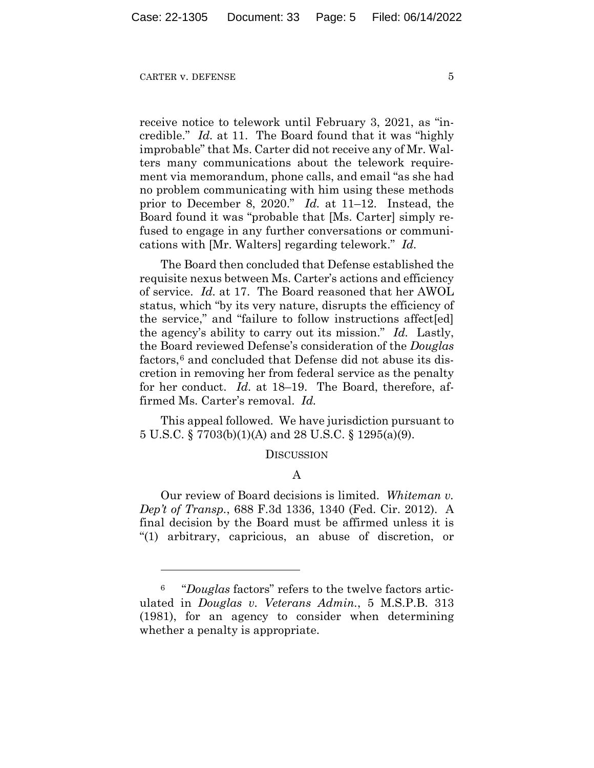receive notice to telework until February 3, 2021, as "incredible." *Id.* at 11. The Board found that it was "highly improbable" that Ms. Carter did not receive any of Mr. Walters many communications about the telework requirement via memorandum, phone calls, and email "as she had no problem communicating with him using these methods prior to December 8, 2020." *Id.* at 11–12. Instead, the Board found it was "probable that [Ms. Carter] simply refused to engage in any further conversations or communications with [Mr. Walters] regarding telework." *Id.*

The Board then concluded that Defense established the requisite nexus between Ms. Carter's actions and efficiency of service. *Id.* at 17. The Board reasoned that her AWOL status, which "by its very nature, disrupts the efficiency of the service," and "failure to follow instructions affect[ed] the agency's ability to carry out its mission." *Id.* Lastly, the Board reviewed Defense's consideration of the *Douglas* factors,<sup>6</sup> and concluded that Defense did not abuse its discretion in removing her from federal service as the penalty for her conduct. *Id.* at 18–19. The Board, therefore, affirmed Ms. Carter's removal. *Id.*

This appeal followed. We have jurisdiction pursuant to 5 U.S.C. § 7703(b)(1)(A) and 28 U.S.C. § 1295(a)(9).

#### DISCUSSION

## A

Our review of Board decisions is limited. *Whiteman v. Dep't of Transp.*, 688 F.3d 1336, 1340 (Fed. Cir. 2012). A final decision by the Board must be affirmed unless it is "(1) arbitrary, capricious, an abuse of discretion, or

<sup>6 &</sup>quot;*Douglas* factors" refers to the twelve factors articulated in *Douglas v. Veterans Admin.*, 5 M.S.P.B. 313 (1981), for an agency to consider when determining whether a penalty is appropriate.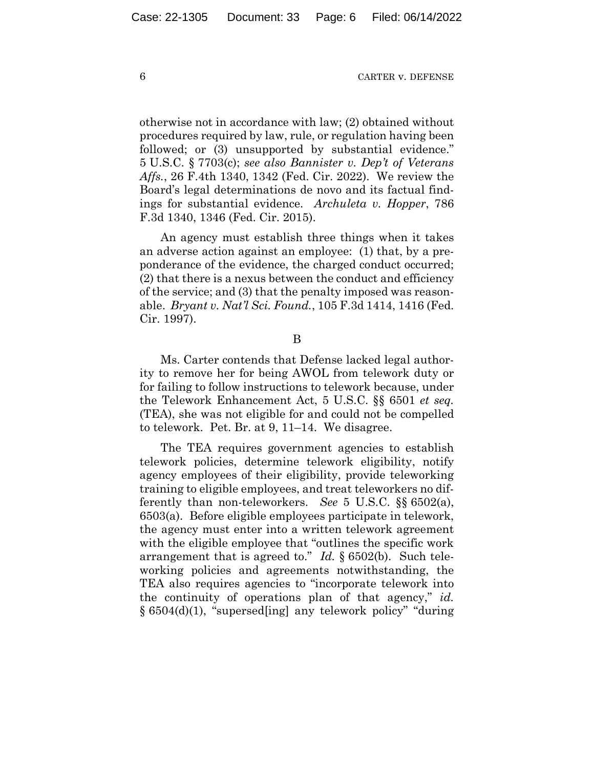otherwise not in accordance with law; (2) obtained without procedures required by law, rule, or regulation having been followed; or (3) unsupported by substantial evidence." 5 U.S.C. § 7703(c); *see also Bannister v. Dep't of Veterans Affs.*, 26 F.4th 1340, 1342 (Fed. Cir. 2022). We review the Board's legal determinations de novo and its factual findings for substantial evidence. *Archuleta v. Hopper*, 786 F.3d 1340, 1346 (Fed. Cir. 2015).

An agency must establish three things when it takes an adverse action against an employee: (1) that, by a preponderance of the evidence, the charged conduct occurred; (2) that there is a nexus between the conduct and efficiency of the service; and (3) that the penalty imposed was reasonable. *Bryant v. Nat'l Sci. Found.*, 105 F.3d 1414, 1416 (Fed. Cir. 1997).

B

Ms. Carter contends that Defense lacked legal authority to remove her for being AWOL from telework duty or for failing to follow instructions to telework because, under the Telework Enhancement Act, 5 U.S.C. §§ 6501 *et seq.* (TEA), she was not eligible for and could not be compelled to telework. Pet. Br. at 9, 11–14. We disagree.

The TEA requires government agencies to establish telework policies, determine telework eligibility, notify agency employees of their eligibility, provide teleworking training to eligible employees, and treat teleworkers no differently than non-teleworkers. *See* 5 U.S.C. §§ 6502(a), 6503(a). Before eligible employees participate in telework, the agency must enter into a written telework agreement with the eligible employee that "outlines the specific work" arrangement that is agreed to." *Id.* § 6502(b). Such teleworking policies and agreements notwithstanding, the TEA also requires agencies to "incorporate telework into the continuity of operations plan of that agency," *id.* § 6504(d)(1), "supersed[ing] any telework policy" "during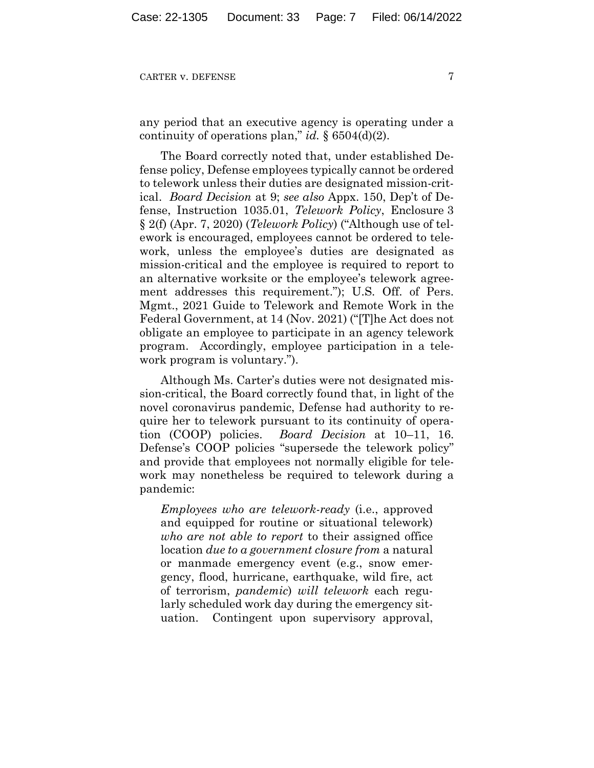any period that an executive agency is operating under a continuity of operations plan," *id.* § 6504(d)(2).

The Board correctly noted that, under established Defense policy, Defense employees typically cannot be ordered to telework unless their duties are designated mission-critical. *Board Decision* at 9; *see also* Appx. 150, Dep't of Defense, Instruction 1035.01, *Telework Policy*, Enclosure 3 § 2(f) (Apr. 7, 2020) (*Telework Policy*) ("Although use of telework is encouraged, employees cannot be ordered to telework, unless the employee's duties are designated as mission-critical and the employee is required to report to an alternative worksite or the employee's telework agreement addresses this requirement."); U.S. Off. of Pers. Mgmt., 2021 Guide to Telework and Remote Work in the Federal Government, at 14 (Nov. 2021) ("[T]he Act does not obligate an employee to participate in an agency telework program. Accordingly, employee participation in a telework program is voluntary.").

Although Ms. Carter's duties were not designated mission-critical, the Board correctly found that, in light of the novel coronavirus pandemic, Defense had authority to require her to telework pursuant to its continuity of operation (COOP) policies. *Board Decision* at 10–11, 16. Defense's COOP policies "supersede the telework policy" and provide that employees not normally eligible for telework may nonetheless be required to telework during a pandemic:

*Employees who are telework-ready* (i.e., approved and equipped for routine or situational telework) *who are not able to report* to their assigned office location *due to a government closure from* a natural or manmade emergency event (e.g., snow emergency, flood, hurricane, earthquake, wild fire, act of terrorism, *pandemic*) *will telework* each regularly scheduled work day during the emergency situation. Contingent upon supervisory approval,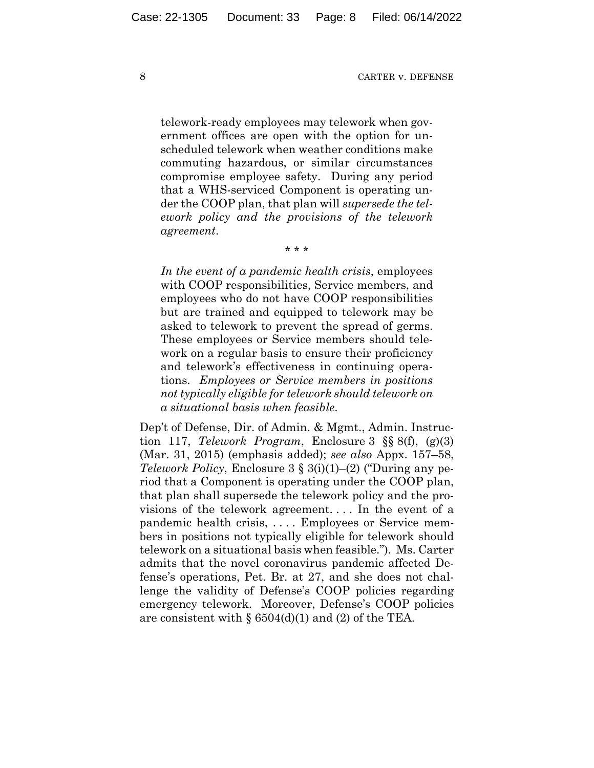telework-ready employees may telework when government offices are open with the option for unscheduled telework when weather conditions make commuting hazardous, or similar circumstances compromise employee safety. During any period that a WHS-serviced Component is operating under the COOP plan, that plan will *supersede the telework policy and the provisions of the telework agreement*.

\* \* \*

*In the event of a pandemic health crisis*, employees with COOP responsibilities, Service members, and employees who do not have COOP responsibilities but are trained and equipped to telework may be asked to telework to prevent the spread of germs. These employees or Service members should telework on a regular basis to ensure their proficiency and telework's effectiveness in continuing operations. *Employees or Service members in positions not typically eligible for telework should telework on a situational basis when feasible*.

Dep't of Defense, Dir. of Admin. & Mgmt., Admin. Instruction 117, *Telework Program*, Enclosure 3 §§ 8(f), (g)(3) (Mar. 31, 2015) (emphasis added); *see also* Appx. 157–58, *Telework Policy*, Enclosure 3 § 3(i)(1)–(2) ("During any period that a Component is operating under the COOP plan, that plan shall supersede the telework policy and the provisions of the telework agreement. . . . In the event of a pandemic health crisis, . . . . Employees or Service members in positions not typically eligible for telework should telework on a situational basis when feasible."). Ms. Carter admits that the novel coronavirus pandemic affected Defense's operations, Pet. Br. at 27, and she does not challenge the validity of Defense's COOP policies regarding emergency telework. Moreover, Defense's COOP policies are consistent with  $\S 6504(d)(1)$  and (2) of the TEA.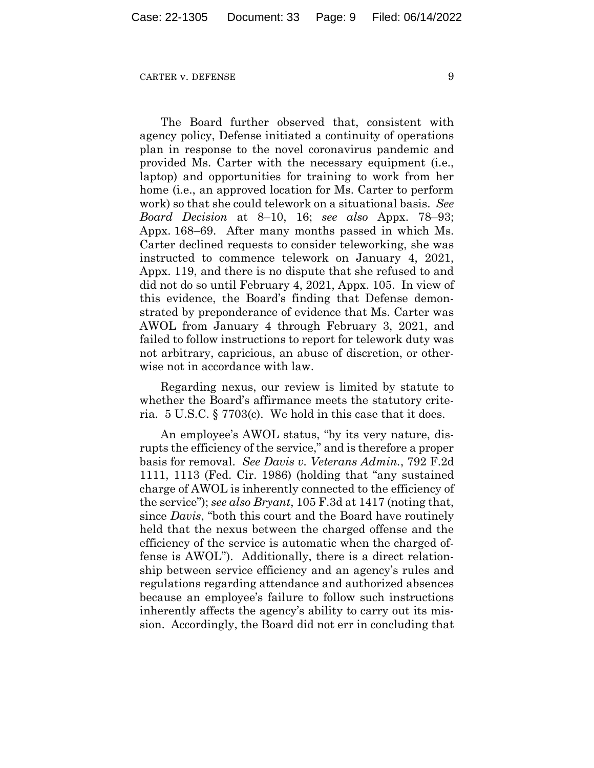The Board further observed that, consistent with agency policy, Defense initiated a continuity of operations plan in response to the novel coronavirus pandemic and provided Ms. Carter with the necessary equipment (i.e., laptop) and opportunities for training to work from her home (i.e., an approved location for Ms. Carter to perform work) so that she could telework on a situational basis. *See Board Decision* at 8–10, 16; *see also* Appx. 78–93; Appx. 168–69. After many months passed in which Ms. Carter declined requests to consider teleworking, she was instructed to commence telework on January 4, 2021, Appx. 119, and there is no dispute that she refused to and did not do so until February 4, 2021, Appx. 105. In view of this evidence, the Board's finding that Defense demonstrated by preponderance of evidence that Ms. Carter was AWOL from January 4 through February 3, 2021, and failed to follow instructions to report for telework duty was not arbitrary, capricious, an abuse of discretion, or otherwise not in accordance with law.

Regarding nexus, our review is limited by statute to whether the Board's affirmance meets the statutory criteria. 5 U.S.C. § 7703(c). We hold in this case that it does.

An employee's AWOL status, "by its very nature, disrupts the efficiency of the service," and is therefore a proper basis for removal. *See Davis v. Veterans Admin.*, 792 F.2d 1111, 1113 (Fed. Cir. 1986) (holding that "any sustained charge of AWOL is inherently connected to the efficiency of the service"); *see also Bryant*, 105 F.3d at 1417 (noting that, since *Davis*, "both this court and the Board have routinely held that the nexus between the charged offense and the efficiency of the service is automatic when the charged offense is AWOL"). Additionally, there is a direct relationship between service efficiency and an agency's rules and regulations regarding attendance and authorized absences because an employee's failure to follow such instructions inherently affects the agency's ability to carry out its mission. Accordingly, the Board did not err in concluding that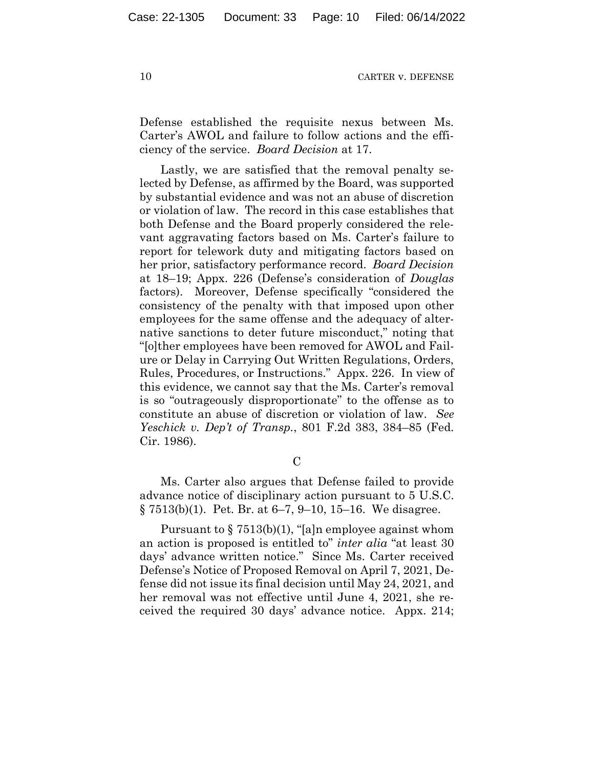Defense established the requisite nexus between Ms. Carter's AWOL and failure to follow actions and the efficiency of the service. *Board Decision* at 17.

Lastly, we are satisfied that the removal penalty selected by Defense, as affirmed by the Board, was supported by substantial evidence and was not an abuse of discretion or violation of law. The record in this case establishes that both Defense and the Board properly considered the relevant aggravating factors based on Ms. Carter's failure to report for telework duty and mitigating factors based on her prior, satisfactory performance record. *Board Decision* at 18–19; Appx. 226 (Defense's consideration of *Douglas* factors). Moreover, Defense specifically "considered the consistency of the penalty with that imposed upon other employees for the same offense and the adequacy of alternative sanctions to deter future misconduct," noting that "[o]ther employees have been removed for AWOL and Failure or Delay in Carrying Out Written Regulations, Orders, Rules, Procedures, or Instructions." Appx. 226. In view of this evidence, we cannot say that the Ms. Carter's removal is so "outrageously disproportionate" to the offense as to constitute an abuse of discretion or violation of law. *See Yeschick v. Dep't of Transp.*, 801 F.2d 383, 384–85 (Fed. Cir. 1986).

 $\overline{C}$ 

Ms. Carter also argues that Defense failed to provide advance notice of disciplinary action pursuant to 5 U.S.C.  $\S 7513(b)(1)$ . Pet. Br. at 6–7, 9–10, 15–16. We disagree.

Pursuant to  $\S 7513(b)(1)$ , "[a]n employee against whom an action is proposed is entitled to" *inter alia* "at least 30 days' advance written notice." Since Ms. Carter received Defense's Notice of Proposed Removal on April 7, 2021, Defense did not issue its final decision until May 24, 2021, and her removal was not effective until June 4, 2021, she received the required 30 days' advance notice. Appx. 214;